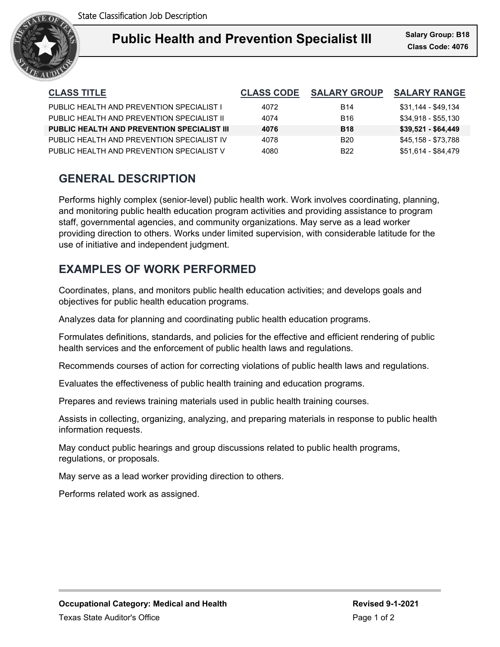

| <b>CLASS TITLE</b>                                 | <b>CLASS CODE</b> | <b>SALARY GROUP</b> | <b>SALARY RANGE</b> |
|----------------------------------------------------|-------------------|---------------------|---------------------|
| PUBLIC HEALTH AND PREVENTION SPECIALIST L          | 4072              | <b>B14</b>          | \$31,144 - \$49,134 |
| PUBLIC HEALTH AND PREVENTION SPECIAL IST II        | 4074              | B <sub>16</sub>     | \$34,918 - \$55,130 |
| <b>PUBLIC HEALTH AND PREVENTION SPECIALIST III</b> | 4076              | <b>B18</b>          | $$39,521 - $64,449$ |
| PUBLIC HEALTH AND PREVENTION SPECIALIST IV         | 4078              | <b>B20</b>          | \$45,158 - \$73,788 |
| PUBLIC HEALTH AND PREVENTION SPECIALIST V          | 4080              | B <sub>22</sub>     | \$51,614 - \$84,479 |

### **GENERAL DESCRIPTION**

Performs highly complex (senior-level) public health work. Work involves coordinating, planning, and monitoring public health education program activities and providing assistance to program staff, governmental agencies, and community organizations. May serve as a lead worker providing direction to others. Works under limited supervision, with considerable latitude for the use of initiative and independent judgment.

# **EXAMPLES OF WORK PERFORMED**

Coordinates, plans, and monitors public health education activities; and develops goals and objectives for public health education programs.

Analyzes data for planning and coordinating public health education programs.

Formulates definitions, standards, and policies for the effective and efficient rendering of public health services and the enforcement of public health laws and regulations.

Recommends courses of action for correcting violations of public health laws and regulations.

Evaluates the effectiveness of public health training and education programs.

Prepares and reviews training materials used in public health training courses.

Assists in collecting, organizing, analyzing, and preparing materials in response to public health information requests.

May conduct public hearings and group discussions related to public health programs, regulations, or proposals.

May serve as a lead worker providing direction to others.

Performs related work as assigned.